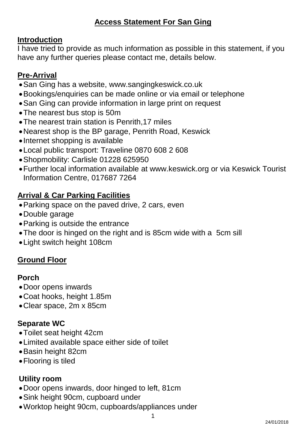## **Access Statement For San Ging**

#### **Introduction**

I have tried to provide as much information as possible in this statement, if you have any further queries please contact me, details below.

### **Pre-Arrival**

- •San Ging has a website, www.sangingkeswick.co.uk
- •Bookings/enquiries can be made online or via email or telephone
- •San Ging can provide information in large print on request
- •The nearest bus stop is 50m
- •The nearest train station is Penrith,17 miles
- •Nearest shop is the BP garage, Penrith Road, Keswick
- •Internet shopping is available
- •Local public transport: Traveline 0870 608 2 608
- •Shopmobility: Carlisle 01228 625950
- •Further local information available at [www.keswick.org](http://www.keswick.org/) or via Keswick Tourist Information Centre, 017687 7264

### **Arrival & Car Parking Facilities**

- •Parking space on the paved drive, 2 cars, even
- •Double garage
- •Parking is outside the entrance
- •The door is hinged on the right and is 85cm wide with a 5cm sill
- •Light switch height 108cm

### **Ground Floor**

#### **Porch**

- •Door opens inwards
- •Coat hooks, height 1.85m
- •Clear space, 2m x 85cm

### **Separate WC**

- •Toilet seat height 42cm
- •Limited available space either side of toilet
- •Basin height 82cm
- Flooring is tiled

#### **Utility room**

- •Door opens inwards, door hinged to left, 81cm
- •Sink height 90cm, cupboard under
- •Worktop height 90cm, cupboards/appliances under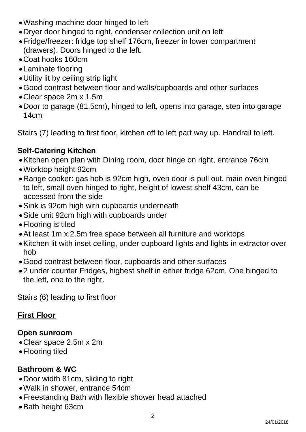- •Washing machine door hinged to left
- •Dryer door hinged to right, condenser collection unit on left
- •Fridge/freezer: fridge top shelf 176cm, freezer in lower compartment (drawers). Doors hinged to the left.
- •Coat hooks 160cm
- •Laminate flooring
- •Utility lit by ceiling strip light
- •Good contrast between floor and walls/cupboards and other surfaces
- •Clear space 2m x 1.5m
- •Door to garage (81.5cm), hinged to left, opens into garage, step into garage 14cm

Stairs (7) leading to first floor, kitchen off to left part way up. Handrail to left.

# **Self-Catering Kitchen**

- •Kitchen open plan with Dining room, door hinge on right, entrance 76cm
- •Worktop height 92cm
- •Range cooker: gas hob is 92cm high, oven door is pull out, main oven hinged to left, small oven hinged to right, height of lowest shelf 43cm, can be accessed from the side
- •Sink is 92cm high with cupboards underneath
- •Side unit 92cm high with cupboards under
- •Flooring is tiled
- •At least 1m x 2.5m free space between all furniture and worktops
- •Kitchen lit with inset ceiling, under cupboard lights and lights in extractor over hob
- •Good contrast between floor, cupboards and other surfaces
- •2 under counter Fridges, highest shelf in either fridge 62cm. One hinged to the left, one to the right.

Stairs (6) leading to first floor

# **First Floor**

#### **Open sunroom**

- •Clear space 2.5m x 2m
- •Flooring tiled

### **Bathroom & WC**

- •Door width 81cm, sliding to right
- •Walk in shower, entrance 54cm
- •Freestanding Bath with flexible shower head attached
- •Bath height 63cm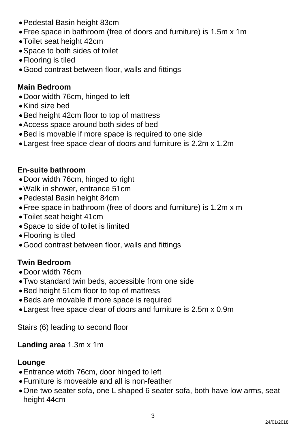- •Pedestal Basin height 83cm
- •Free space in bathroom (free of doors and furniture) is 1.5m x 1m
- •Toilet seat height 42cm
- •Space to both sides of toilet
- •Flooring is tiled
- •Good contrast between floor, walls and fittings

# **Main Bedroom**

- •Door width 76cm, hinged to left
- •Kind size bed
- •Bed height 42cm floor to top of mattress
- •Access space around both sides of bed
- •Bed is movable if more space is required to one side
- •Largest free space clear of doors and furniture is 2.2m x 1.2m

# **En-suite bathroom**

- •Door width 76cm, hinged to right
- •Walk in shower, entrance 51cm
- •Pedestal Basin height 84cm
- •Free space in bathroom (free of doors and furniture) is 1.2m x m
- •Toilet seat height 41cm
- •Space to side of toilet is limited
- •Flooring is tiled
- •Good contrast between floor, walls and fittings

# **Twin Bedroom**

- •Door width 76cm
- •Two standard twin beds, accessible from one side
- •Bed height 51cm floor to top of mattress
- •Beds are movable if more space is required
- •Largest free space clear of doors and furniture is 2.5m x 0.9m

Stairs (6) leading to second floor

### **Landing area** 1.3m x 1m

### **Lounge**

- •Entrance width 76cm, door hinged to left
- •Furniture is moveable and all is non-feather
- •One two seater sofa, one L shaped 6 seater sofa, both have low arms, seat height 44cm